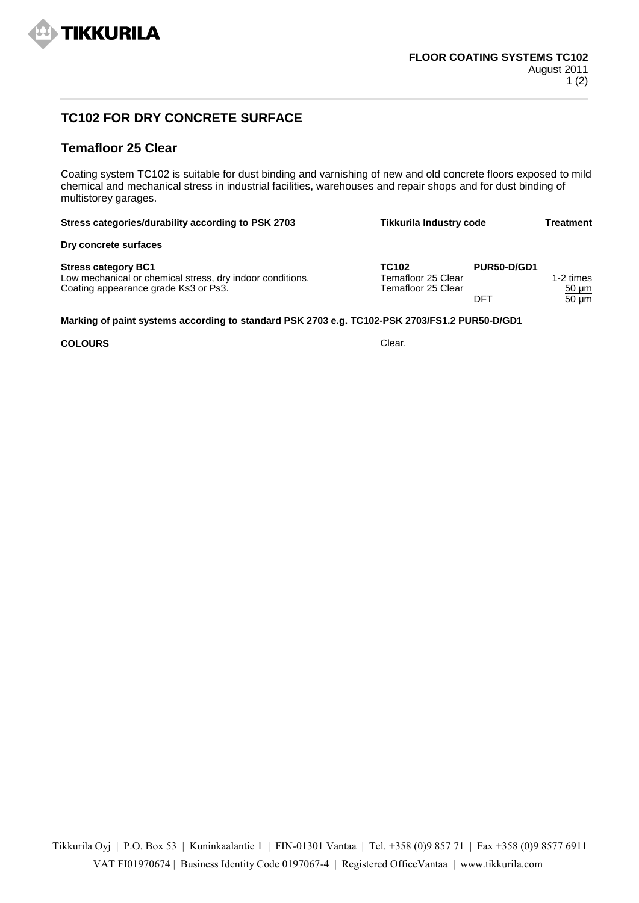

## **TC102 FOR DRY CONCRETE SURFACE**

## **Temafloor 25 Clear**

Coating system TC102 is suitable for dust binding and varnishing of new and old concrete floors exposed to mild chemical and mechanical stress in industrial facilities, warehouses and repair shops and for dust binding of multistorey garages.

| Stress categories/durability according to PSK 2703                                                                              | <b>Tikkurila Industry code</b>                                |                    | Treatment                             |
|---------------------------------------------------------------------------------------------------------------------------------|---------------------------------------------------------------|--------------------|---------------------------------------|
| Dry concrete surfaces                                                                                                           |                                                               |                    |                                       |
| <b>Stress category BC1</b><br>Low mechanical or chemical stress, dry indoor conditions.<br>Coating appearance grade Ks3 or Ps3. | TC <sub>102</sub><br>Temafloor 25 Clear<br>Temafloor 25 Clear | PUR50-D/GD1<br>DFT | 1-2 times<br>$50 \mu m$<br>$50 \mu m$ |

## **Marking of paint systems according to standard PSK 2703 e.g. TC102-PSK 2703/FS1.2 PUR50-D/GD1**

## **COLOURS** Clear.